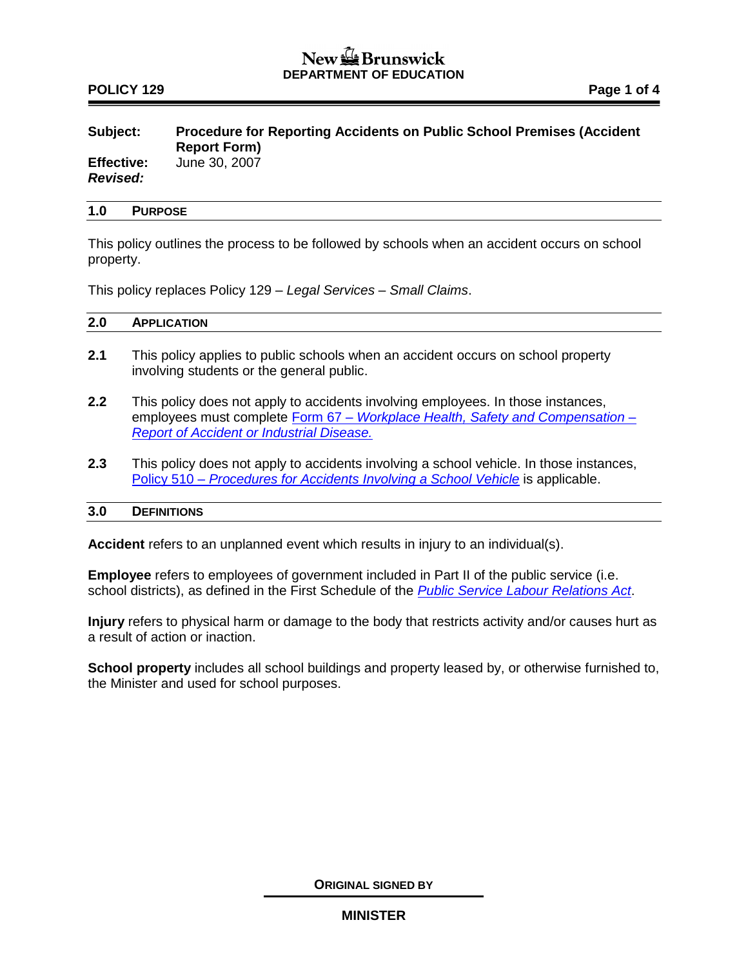## $New =$ Brunswick **DEPARTMENT OF EDUCATION**

## **POLICY 129 Page 1 of 4**

# **Subject: Procedure for Reporting Accidents on Public School Premises (Accident Report Form) Effective:** June 30, 2007

*Revised:*

### **1.0 PURPOSE**

This policy outlines the process to be followed by schools when an accident occurs on school property.

This policy replaces Policy 129 – *Legal Services – Small Claims*.

## **2.0 APPLICATION**

- **2.1** This policy applies to public schools when an accident occurs on school property involving students or the general public.
- **2.2** This policy does not apply to accidents involving employees. In those instances, employees must complete Form 67 *– [Workplace Health, Safety and Compensation –](http://www.travailsecuritairenb.ca/docs/form67.pdf) [Report of Accident or Industrial Disease.](http://www.travailsecuritairenb.ca/docs/form67.pdf)*
- **2.3** This policy does not apply to accidents involving a school vehicle. In those instances, Policy 510 – *[Procedures for Accidents Involving a School Vehicle](http://www2.gnb.ca/content/dam/gnb/Departments/ed/pdf/K12/policies-politiques/e/510A.pdf)* is applicable.

### **3.0 DEFINITIONS**

**Accident** refers to an unplanned event which results in injury to an individual(s).

**Employee** refers to employees of government included in Part II of the public service (i.e. school districts), as defined in the First Schedule of the *[Public Service Labour Relations Act](http://laws.gnb.ca/en/ShowPdf/cs/P-25.pdf)*.

**Injury** refers to physical harm or damage to the body that restricts activity and/or causes hurt as a result of action or inaction.

**School property** includes all school buildings and property leased by, or otherwise furnished to, the Minister and used for school purposes.

**ORIGINAL SIGNED BY**

### **MINISTER**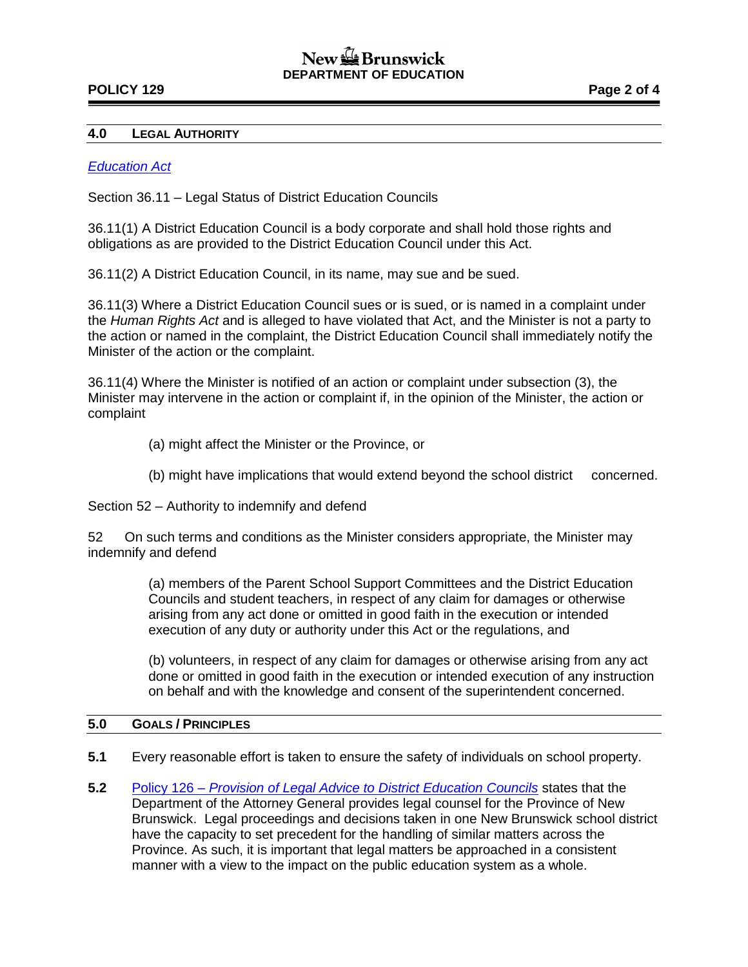# New the Brunswick **DEPARTMENT OF EDUCATION**

## **POLICY 129 Page 2 of 4**

#### **4.0 LEGAL AUTHORITY**

#### *[Education Act](http://laws.gnb.ca/en/ShowPdf/cs/E-1.12.pdf)*

Section 36.11 – Legal Status of District Education Councils

36.11(1) A District Education Council is a body corporate and shall hold those rights and obligations as are provided to the District Education Council under this Act.

36.11(2) A District Education Council, in its name, may sue and be sued.

36.11(3) Where a District Education Council sues or is sued, or is named in a complaint under the *Human Rights Act* and is alleged to have violated that Act, and the Minister is not a party to the action or named in the complaint, the District Education Council shall immediately notify the Minister of the action or the complaint.

36.11(4) Where the Minister is notified of an action or complaint under subsection (3), the Minister may intervene in the action or complaint if, in the opinion of the Minister, the action or complaint

- (a) might affect the Minister or the Province, or
- (b) might have implications that would extend beyond the school district concerned.

Section 52 – Authority to indemnify and defend

52 On such terms and conditions as the Minister considers appropriate, the Minister may indemnify and defend

> (a) members of the Parent School Support Committees and the District Education Councils and student teachers, in respect of any claim for damages or otherwise arising from any act done or omitted in good faith in the execution or intended execution of any duty or authority under this Act or the regulations, and

(b) volunteers, in respect of any claim for damages or otherwise arising from any act done or omitted in good faith in the execution or intended execution of any instruction on behalf and with the knowledge and consent of the superintendent concerned.

### **5.0 GOALS / PRINCIPLES**

- **5.1** Every reasonable effort is taken to ensure the safety of individuals on school property.
- **5.2** Policy 126 *[Provision of Legal Advice to District Education Councils](http://www2.gnb.ca/content/dam/gnb/Departments/ed/pdf/K12/policies-politiques/e/126A.pdf)* states that the Department of the Attorney General provides legal counsel for the Province of New Brunswick. Legal proceedings and decisions taken in one New Brunswick school district have the capacity to set precedent for the handling of similar matters across the Province. As such, it is important that legal matters be approached in a consistent manner with a view to the impact on the public education system as a whole.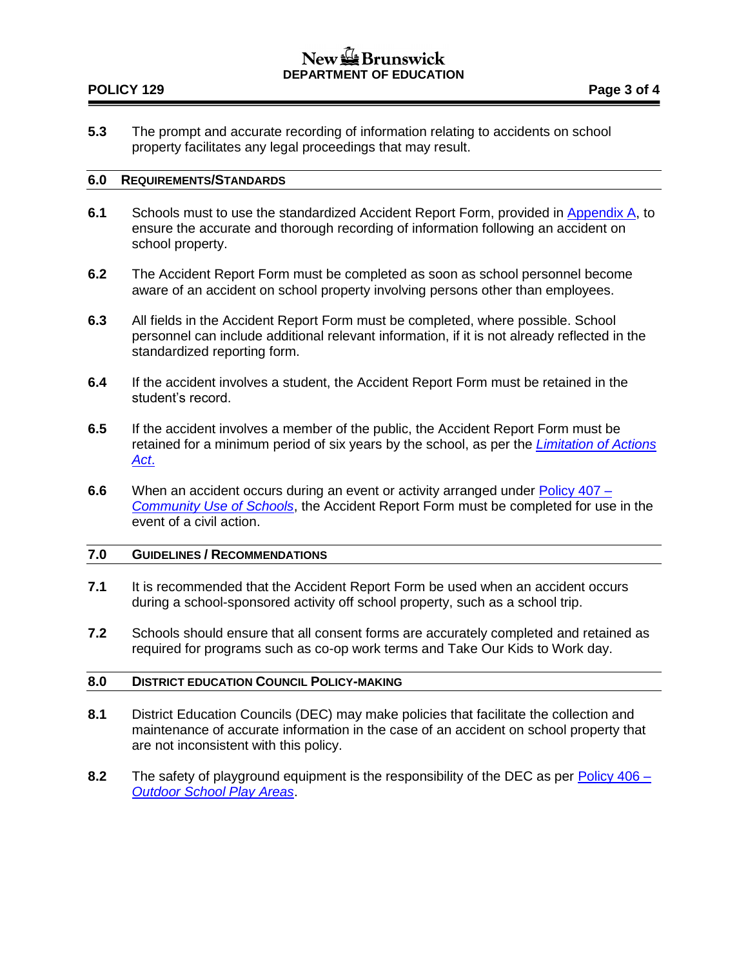# $New =$ Brunswick **DEPARTMENT OF EDUCATION**

## **POLICY 129 Page 3 of 4**

**5.3** The prompt and accurate recording of information relating to accidents on school property facilitates any legal proceedings that may result.

#### **6.0 REQUIREMENTS/STANDARDS**

- **6.1** Schools must to use the standardized Accident Report Form, provided in [Appendix A,](http://www2.gnb.ca/content/dam/gnb/Departments/ed/pdf/K12/policies-politiques/e/129AA.pdf) to ensure the accurate and thorough recording of information following an accident on school property.
- **6.2** The Accident Report Form must be completed as soon as school personnel become aware of an accident on school property involving persons other than employees.
- **6.3** All fields in the Accident Report Form must be completed, where possible. School personnel can include additional relevant information, if it is not already reflected in the standardized reporting form.
- **6.4** If the accident involves a student, the Accident Report Form must be retained in the student's record.
- **6.5** If the accident involves a member of the public, the Accident Report Form must be retained for a minimum period of six years by the school, as per the *[Limitation of Actions](http://laws.gnb.ca/en/ShowPdf/cs/L-8.5.pdf)  [Act](http://laws.gnb.ca/en/ShowPdf/cs/L-8.5.pdf)*.
- **6.6** When an accident occurs during an event or activity arranged under [Policy 407 –](http://www2.gnb.ca/content/dam/gnb/Departments/ed/pdf/K12/policies-politiques/e/407A.pdf) *[Community Use of Schools](http://www2.gnb.ca/content/dam/gnb/Departments/ed/pdf/K12/policies-politiques/e/407A.pdf)*, the Accident Report Form must be completed for use in the event of a civil action.

## **7.0 GUIDELINES / RECOMMENDATIONS**

- **7.1** It is recommended that the Accident Report Form be used when an accident occurs during a school-sponsored activity off school property, such as a school trip.
- **7.2** Schools should ensure that all consent forms are accurately completed and retained as required for programs such as co-op work terms and Take Our Kids to Work day.

## **8.0 DISTRICT EDUCATION COUNCIL POLICY-MAKING**

- **8.1** District Education Councils (DEC) may make policies that facilitate the collection and maintenance of accurate information in the case of an accident on school property that are not inconsistent with this policy.
- **8.2** The safety of playground equipment is the responsibility of the DEC as per [Policy 406 –](http://www2.gnb.ca/content/dam/gnb/Departments/ed/pdf/K12/policies-politiques/e/406A.pdf) *[Outdoor School Play Areas](http://www2.gnb.ca/content/dam/gnb/Departments/ed/pdf/K12/policies-politiques/e/406A.pdf)*.